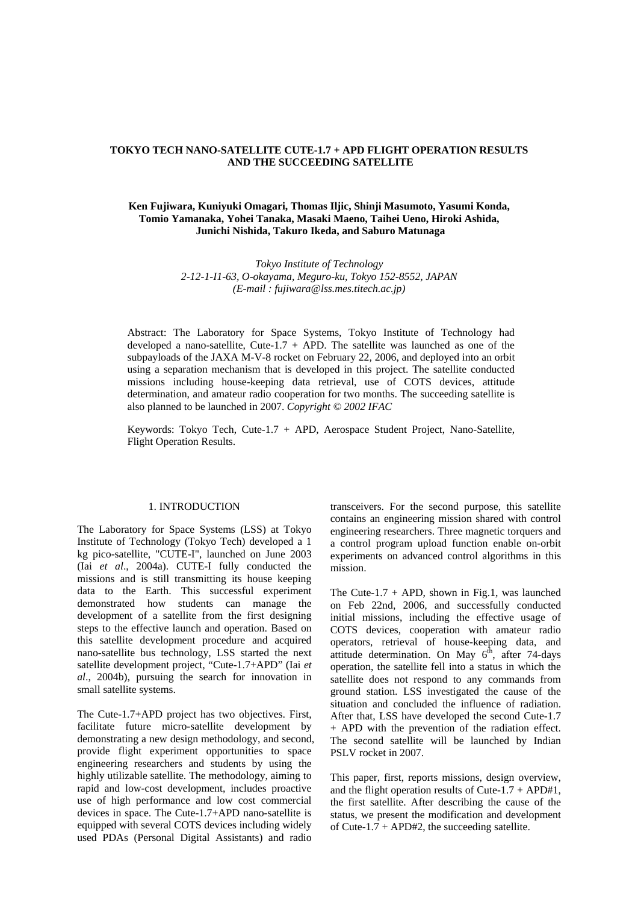# **TOKYO TECH NANO-SATELLITE CUTE-1.7 + APD FLIGHT OPERATION RESULTS AND THE SUCCEEDING SATELLITE**

# **Ken Fujiwara, Kuniyuki Omagari, Thomas Iljic, Shinji Masumoto, Yasumi Konda, Tomio Yamanaka, Yohei Tanaka, Masaki Maeno, Taihei Ueno, Hiroki Ashida, Junichi Nishida, Takuro Ikeda, and Saburo Matunaga**

*Tokyo Institute of Technology 2-12-1-I1-63, O-okayama, Meguro-ku, Tokyo 152-8552, JAPAN (E-mail : fujiwara@lss.mes.titech.ac.jp)*

Abstract: The Laboratory for Space Systems, Tokyo Institute of Technology had developed a nano-satellite, Cute-1.7 + APD. The satellite was launched as one of the subpayloads of the JAXA M-V-8 rocket on February 22, 2006, and deployed into an orbit using a separation mechanism that is developed in this project. The satellite conducted missions including house-keeping data retrieval, use of COTS devices, attitude determination, and amateur radio cooperation for two months. The succeeding satellite is also planned to be launched in 2007. *Copyright © 2002 IFAC*

Keywords: Tokyo Tech, Cute-1.7 + APD, Aerospace Student Project, Nano-Satellite, Flight Operation Results.

#### 1. INTRODUCTION

The Laboratory for Space Systems (LSS) at Tokyo Institute of Technology (Tokyo Tech) developed a 1 kg pico-satellite, "CUTE-I", launched on June 2003 (Iai *et al*., 2004a). CUTE-I fully conducted the missions and is still transmitting its house keeping data to the Earth. This successful experiment demonstrated how students can manage the development of a satellite from the first designing steps to the effective launch and operation. Based on this satellite development procedure and acquired nano-satellite bus technology, LSS started the next satellite development project, "Cute-1.7+APD" (Iai *et al*., 2004b), pursuing the search for innovation in small satellite systems.

The Cute-1.7+APD project has two objectives. First, facilitate future micro-satellite development by demonstrating a new design methodology, and second, provide flight experiment opportunities to space engineering researchers and students by using the highly utilizable satellite. The methodology, aiming to rapid and low-cost development, includes proactive use of high performance and low cost commercial devices in space. The Cute-1.7+APD nano-satellite is equipped with several COTS devices including widely used PDAs (Personal Digital Assistants) and radio

transceivers. For the second purpose, this satellite contains an engineering mission shared with control engineering researchers. Three magnetic torquers and a control program upload function enable on-orbit experiments on advanced control algorithms in this mission.

The Cute-1.7 + APD, shown in Fig.1, was launched on Feb 22nd, 2006, and successfully conducted initial missions, including the effective usage of COTS devices, cooperation with amateur radio operators, retrieval of house-keeping data, and attitude determination. On May  $6<sup>th</sup>$ , after 74-days operation, the satellite fell into a status in which the satellite does not respond to any commands from ground station. LSS investigated the cause of the situation and concluded the influence of radiation. After that, LSS have developed the second Cute-1.7 + APD with the prevention of the radiation effect. The second satellite will be launched by Indian PSLV rocket in 2007.

This paper, first, reports missions, design overview, and the flight operation results of Cute-1.7 + APD#1, the first satellite. After describing the cause of the status, we present the modification and development of Cute-1.7 + APD#2, the succeeding satellite.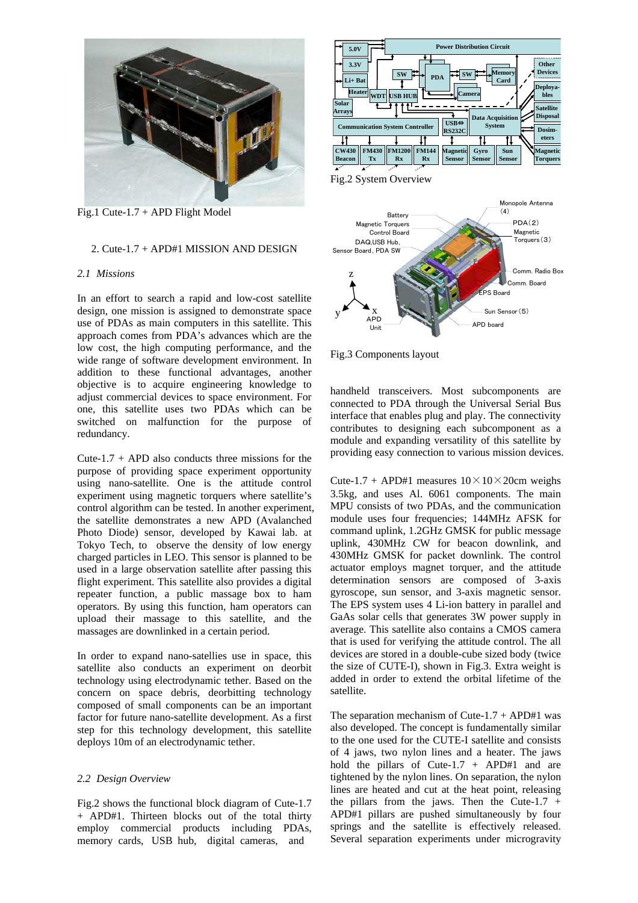

Fig.1 Cute-1.7 + APD Flight Model

#### 2. Cute-1.7 + APD#1 MISSION AND DESIGN

#### *2.1 Missions*

In an effort to search a rapid and low-cost satellite design, one mission is assigned to demonstrate space use of PDAs as main computers in this satellite. This approach comes from PDA's advances which are the low cost, the high computing performance, and the wide range of software development environment. In addition to these functional advantages, another objective is to acquire engineering knowledge to adjust commercial devices to space environment. For one, this satellite uses two PDAs which can be switched on malfunction for the purpose of redundancy.

Cute-1.7 + APD also conducts three missions for the purpose of providing space experiment opportunity using nano-satellite. One is the attitude control experiment using magnetic torquers where satellite's control algorithm can be tested. In another experiment, the satellite demonstrates a new APD (Avalanched Photo Diode) sensor, developed by Kawai lab. at Tokyo Tech, to observe the density of low energy charged particles in LEO. This sensor is planned to be used in a large observation satellite after passing this flight experiment. This satellite also provides a digital repeater function, a public massage box to ham operators. By using this function, ham operators can upload their massage to this satellite, and the massages are downlinked in a certain period.

In order to expand nano-satellies use in space, this satellite also conducts an experiment on deorbit technology using electrodynamic tether. Based on the concern on space debris, deorbitting technology composed of small components can be an important factor for future nano-satellite development. As a first step for this technology development, this satellite deploys 10m of an electrodynamic tether.

### *2.2 Design Overview*

Fig.2 shows the functional block diagram of Cute-1.7 + APD#1. Thirteen blocks out of the total thirty employ commercial products including PDAs, memory cards, USB hub, digital cameras, and



Fig.2 System Overview



Fig.3 Components layout

handheld transceivers. Most subcomponents are connected to PDA through the Universal Serial Bus interface that enables plug and play. The connectivity contributes to designing each subcomponent as a module and expanding versatility of this satellite by providing easy connection to various mission devices.

Cute-1.7 + APD#1 measures  $10 \times 10 \times 20$ cm weighs 3.5kg, and uses Al. 6061 components. The main MPU consists of two PDAs, and the communication module uses four frequencies; 144MHz AFSK for command uplink, 1.2GHz GMSK for public message uplink, 430MHz CW for beacon downlink, and 430MHz GMSK for packet downlink. The control actuator employs magnet torquer, and the attitude determination sensors are composed of 3-axis gyroscope, sun sensor, and 3-axis magnetic sensor. The EPS system uses 4 Li-ion battery in parallel and GaAs solar cells that generates 3W power supply in average. This satellite also contains a CMOS camera that is used for verifying the attitude control. The all devices are stored in a double-cube sized body (twice the size of CUTE-I), shown in Fig.3. Extra weight is added in order to extend the orbital lifetime of the satellite.

The separation mechanism of Cute- $1.7 + APD#1$  was also developed. The concept is fundamentally similar to the one used for the CUTE-I satellite and consists of 4 jaws, two nylon lines and a heater. The jaws hold the pillars of Cute-1.7 + APD#1 and are tightened by the nylon lines. On separation, the nylon lines are heated and cut at the heat point, releasing the pillars from the jaws. Then the Cute-1.7 + APD#1 pillars are pushed simultaneously by four springs and the satellite is effectively released. Several separation experiments under microgravity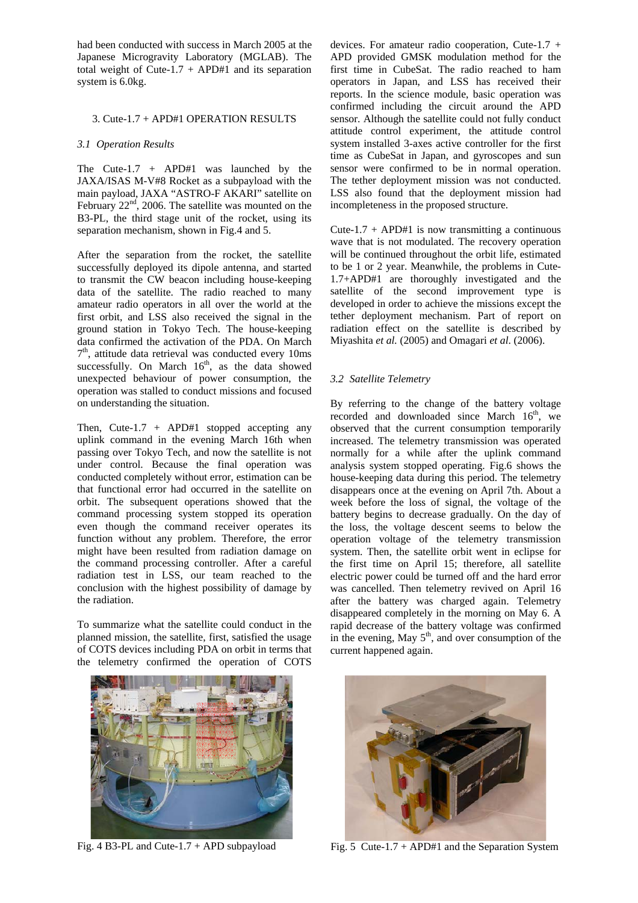had been conducted with success in March 2005 at the Japanese Microgravity Laboratory (MGLAB). The total weight of Cute-1.7 + APD#1 and its separation system is 6.0kg.

# 3. Cute-1.7 + APD#1 OPERATION RESULTS

## *3.1 Operation Results*

The Cute-1.7 + APD#1 was launched by the JAXA/ISAS M-V#8 Rocket as a subpayload with the main payload, JAXA "ASTRO-F AKARI" satellite on February 22<sup>nd</sup>, 2006. The satellite was mounted on the B3-PL, the third stage unit of the rocket, using its separation mechanism, shown in Fig.4 and 5.

After the separation from the rocket, the satellite successfully deployed its dipole antenna, and started to transmit the CW beacon including house-keeping data of the satellite. The radio reached to many amateur radio operators in all over the world at the first orbit, and LSS also received the signal in the ground station in Tokyo Tech. The house-keeping data confirmed the activation of the PDA. On March  $7<sup>th</sup>$ , attitude data retrieval was conducted every 10ms successfully. On March  $16<sup>th</sup>$ , as the data showed unexpected behaviour of power consumption, the operation was stalled to conduct missions and focused on understanding the situation.

Then, Cute-1.7 + APD#1 stopped accepting any uplink command in the evening March 16th when passing over Tokyo Tech, and now the satellite is not under control. Because the final operation was conducted completely without error, estimation can be that functional error had occurred in the satellite on orbit. The subsequent operations showed that the command processing system stopped its operation even though the command receiver operates its function without any problem. Therefore, the error might have been resulted from radiation damage on the command processing controller. After a careful radiation test in LSS, our team reached to the conclusion with the highest possibility of damage by the radiation.

To summarize what the satellite could conduct in the planned mission, the satellite, first, satisfied the usage of COTS devices including PDA on orbit in terms that the telemetry confirmed the operation of COTS



devices. For amateur radio cooperation, Cute-1.7 + APD provided GMSK modulation method for the first time in CubeSat. The radio reached to ham operators in Japan, and LSS has received their reports. In the science module, basic operation was confirmed including the circuit around the APD sensor. Although the satellite could not fully conduct attitude control experiment, the attitude control system installed 3-axes active controller for the first time as CubeSat in Japan, and gyroscopes and sun sensor were confirmed to be in normal operation. The tether deployment mission was not conducted. LSS also found that the deployment mission had incompleteness in the proposed structure.

Cute-1.7 + APD#1 is now transmitting a continuous wave that is not modulated. The recovery operation will be continued throughout the orbit life, estimated to be 1 or 2 year. Meanwhile, the problems in Cute-1.7+APD#1 are thoroughly investigated and the satellite of the second improvement type is developed in order to achieve the missions except the tether deployment mechanism. Part of report on radiation effect on the satellite is described by Miyashita *et al.* (2005) and Omagari *et al*. (2006).

# *3.2 Satellite Telemetry*

By referring to the change of the battery voltage recorded and downloaded since March 16<sup>th</sup>, we observed that the current consumption temporarily increased. The telemetry transmission was operated normally for a while after the uplink command analysis system stopped operating. Fig.6 shows the house-keeping data during this period. The telemetry disappears once at the evening on April 7th. About a week before the loss of signal, the voltage of the battery begins to decrease gradually. On the day of the loss, the voltage descent seems to below the operation voltage of the telemetry transmission system. Then, the satellite orbit went in eclipse for the first time on April 15; therefore, all satellite electric power could be turned off and the hard error was cancelled. Then telemetry revived on April 16 after the battery was charged again. Telemetry disappeared completely in the morning on May 6. A rapid decrease of the battery voltage was confirmed in the evening, May  $5<sup>th</sup>$ , and over consumption of the current happened again.



Fig. 4 B3-PL and Cute-1.7 + APD subpayload Fig. 5 Cute-1.7 + APD#1 and the Separation System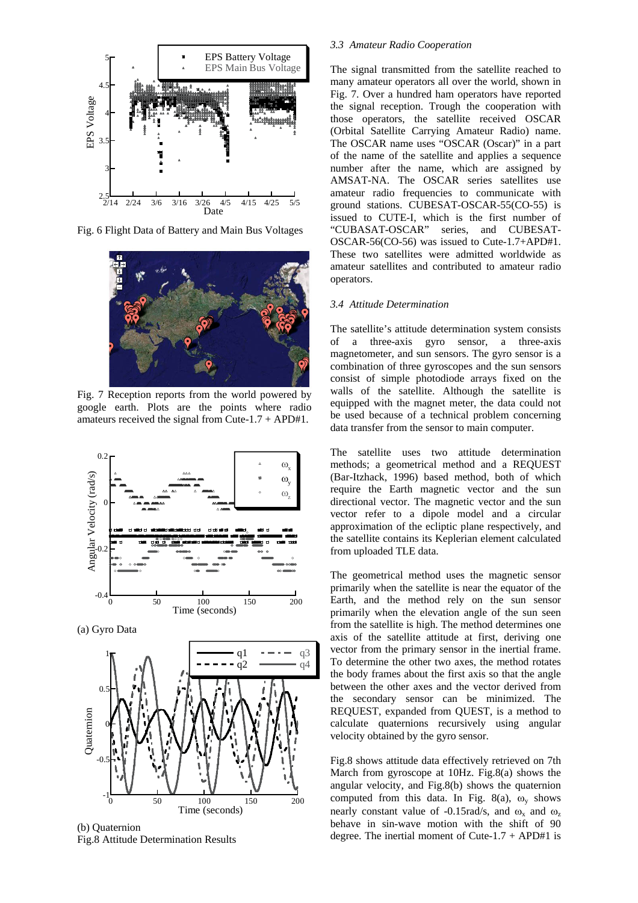

Fig. 6 Flight Data of Battery and Main Bus Voltages



Fig. 7 Reception reports from the world powered by google earth. Plots are the points where radio amateurs received the signal from Cute-1.7 + APD#1.



(a) Gyro Data



(b) Quaternion Fig.8 Attitude Determination Results

### *3.3 Amateur Radio Cooperation*

The signal transmitted from the satellite reached to many amateur operators all over the world, shown in Fig. 7. Over a hundred ham operators have reported the signal reception. Trough the cooperation with those operators, the satellite received OSCAR (Orbital Satellite Carrying Amateur Radio) name. The OSCAR name uses "OSCAR (Oscar)" in a part of the name of the satellite and applies a sequence number after the name, which are assigned by AMSAT-NA. The OSCAR series satellites use amateur radio frequencies to communicate with ground stations. CUBESAT-OSCAR-55(CO-55) is issued to CUTE-I, which is the first number of "CUBASAT-OSCAR" series, and CUBESAT-OSCAR-56(CO-56) was issued to Cute-1.7+APD#1. These two satellites were admitted worldwide as amateur satellites and contributed to amateur radio operators.

# *3.4 Attitude Determination*

The satellite's attitude determination system consists of a three-axis gyro sensor, a three-axis magnetometer, and sun sensors. The gyro sensor is a combination of three gyroscopes and the sun sensors consist of simple photodiode arrays fixed on the walls of the satellite. Although the satellite is equipped with the magnet meter, the data could not be used because of a technical problem concerning data transfer from the sensor to main computer.

The satellite uses two attitude determination methods; a geometrical method and a REQUEST (Bar-Itzhack, 1996) based method, both of which require the Earth magnetic vector and the sun directional vector. The magnetic vector and the sun vector refer to a dipole model and a circular approximation of the ecliptic plane respectively, and the satellite contains its Keplerian element calculated from uploaded TLE data.

The geometrical method uses the magnetic sensor primarily when the satellite is near the equator of the Earth, and the method rely on the sun sensor primarily when the elevation angle of the sun seen from the satellite is high. The method determines one axis of the satellite attitude at first, deriving one vector from the primary sensor in the inertial frame. To determine the other two axes, the method rotates the body frames about the first axis so that the angle between the other axes and the vector derived from the secondary sensor can be minimized. The REQUEST, expanded from QUEST, is a method to calculate quaternions recursively using angular velocity obtained by the gyro sensor.

Fig.8 shows attitude data effectively retrieved on 7th March from gyroscope at 10Hz. Fig.8(a) shows the angular velocity, and Fig.8(b) shows the quaternion computed from this data. In Fig. 8(a),  $\omega_{v}$  shows nearly constant value of -0.15rad/s, and  $\omega_x$  and  $\omega_z$ behave in sin-wave motion with the shift of 90 degree. The inertial moment of Cute-1.7 + APD#1 is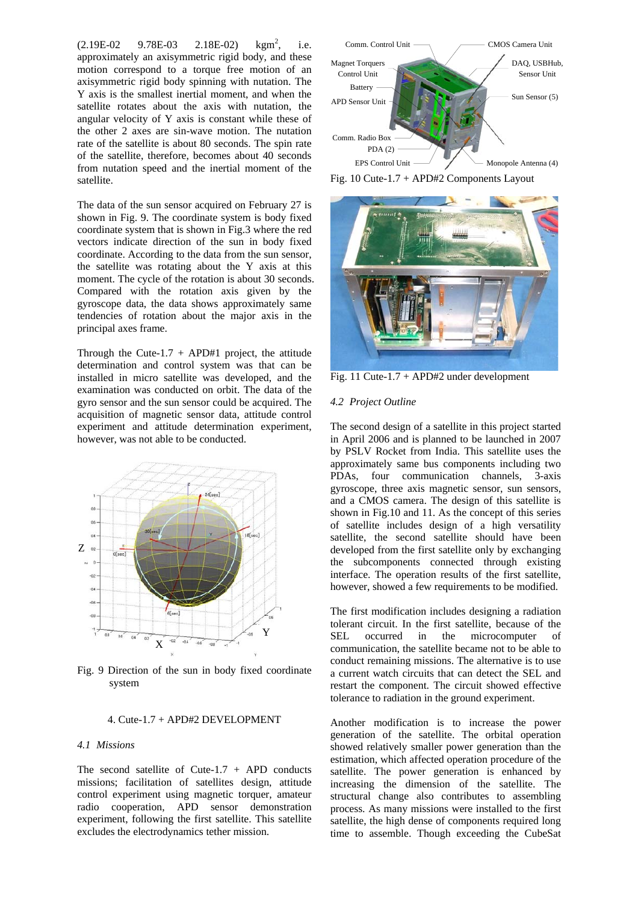$(2.19E-02 \quad 9.78E-03 \quad 2.18E-02)$  kgm<sup>2</sup>. , i.e. approximately an axisymmetric rigid body, and these motion correspond to a torque free motion of an axisymmetric rigid body spinning with nutation. The Y axis is the smallest inertial moment, and when the satellite rotates about the axis with nutation, the angular velocity of Y axis is constant while these of the other 2 axes are sin-wave motion. The nutation rate of the satellite is about 80 seconds. The spin rate of the satellite, therefore, becomes about 40 seconds from nutation speed and the inertial moment of the satellite.

The data of the sun sensor acquired on February 27 is shown in Fig. 9. The coordinate system is body fixed coordinate system that is shown in Fig.3 where the red vectors indicate direction of the sun in body fixed coordinate. According to the data from the sun sensor, the satellite was rotating about the Y axis at this moment. The cycle of the rotation is about 30 seconds. Compared with the rotation axis given by the gyroscope data, the data shows approximately same tendencies of rotation about the major axis in the principal axes frame.

Through the Cute-1.7 + APD#1 project, the attitude determination and control system was that can be installed in micro satellite was developed, and the examination was conducted on orbit. The data of the gyro sensor and the sun sensor could be acquired. The acquisition of magnetic sensor data, attitude control experiment and attitude determination experiment, however, was not able to be conducted.



Fig. 9 Direction of the sun in body fixed coordinate system

### 4. Cute-1.7 + APD#2 DEVELOPMENT

# *4.1 Missions*

The second satellite of Cute-1.7  $+$  APD conducts missions; facilitation of satellites design, attitude control experiment using magnetic torquer, amateur radio cooperation, APD sensor demonstration experiment, following the first satellite. This satellite excludes the electrodynamics tether mission.



Fig. 10 Cute-1.7 + APD#2 Components Layout



Fig. 11 Cute-1.7 + APD#2 under development

### *4.2 Project Outline*

The second design of a satellite in this project started in April 2006 and is planned to be launched in 2007 by PSLV Rocket from India. This satellite uses the approximately same bus components including two PDAs, four communication channels, 3-axis gyroscope, three axis magnetic sensor, sun sensors, and a CMOS camera. The design of this satellite is shown in Fig.10 and 11. As the concept of this series of satellite includes design of a high versatility satellite, the second satellite should have been developed from the first satellite only by exchanging the subcomponents connected through existing interface. The operation results of the first satellite, however, showed a few requirements to be modified.

The first modification includes designing a radiation tolerant circuit. In the first satellite, because of the SEL occurred in the microcomputer of communication, the satellite became not to be able to conduct remaining missions. The alternative is to use a current watch circuits that can detect the SEL and restart the component. The circuit showed effective tolerance to radiation in the ground experiment.

Another modification is to increase the power generation of the satellite. The orbital operation showed relatively smaller power generation than the estimation, which affected operation procedure of the satellite. The power generation is enhanced by increasing the dimension of the satellite. The structural change also contributes to assembling process. As many missions were installed to the first satellite, the high dense of components required long time to assemble. Though exceeding the CubeSat